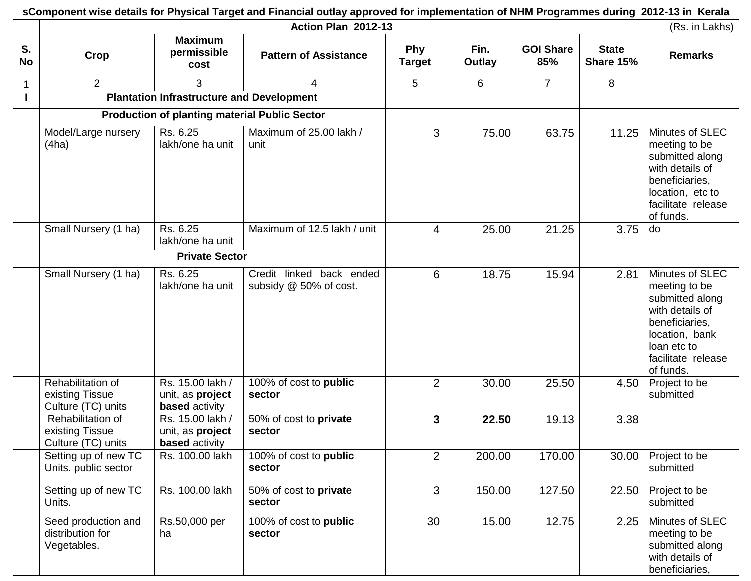|                 | sComponent wise details for Physical Target and Financial outlay approved for implementation of NHM Programmes during 2012-13 in Kerala |                                                               |                                                    |                             |                |                         |                           |                                                                                                                                                              |  |  |
|-----------------|-----------------------------------------------------------------------------------------------------------------------------------------|---------------------------------------------------------------|----------------------------------------------------|-----------------------------|----------------|-------------------------|---------------------------|--------------------------------------------------------------------------------------------------------------------------------------------------------------|--|--|
|                 |                                                                                                                                         |                                                               | Action Plan 2012-13                                |                             |                |                         |                           | (Rs. in Lakhs)                                                                                                                                               |  |  |
| S.<br><b>No</b> | Crop                                                                                                                                    | <b>Maximum</b><br>permissible<br>cost                         | <b>Pattern of Assistance</b>                       | <b>Phy</b><br><b>Target</b> | Fin.<br>Outlay | <b>GOI Share</b><br>85% | <b>State</b><br>Share 15% | <b>Remarks</b>                                                                                                                                               |  |  |
|                 | 2                                                                                                                                       | 3                                                             | 4                                                  | 5                           | 6              | $\overline{7}$          | 8                         |                                                                                                                                                              |  |  |
|                 |                                                                                                                                         | <b>Plantation Infrastructure and Development</b>              |                                                    |                             |                |                         |                           |                                                                                                                                                              |  |  |
|                 |                                                                                                                                         | <b>Production of planting material Public Sector</b>          |                                                    |                             |                |                         |                           |                                                                                                                                                              |  |  |
|                 | Model/Large nursery<br>(4ha)                                                                                                            | Rs. 6.25<br>lakh/one ha unit                                  | Maximum of 25.00 lakh /<br>unit                    | 3                           | 75.00          | 63.75                   | 11.25                     | Minutes of SLEC<br>meeting to be<br>submitted along<br>with details of<br>beneficiaries,<br>location, etc to<br>facilitate release<br>of funds.              |  |  |
|                 | Small Nursery (1 ha)                                                                                                                    | Rs. 6.25<br>lakh/one ha unit                                  | Maximum of 12.5 lakh / unit                        | 4                           | 25.00          | 21.25                   | 3.75                      | do                                                                                                                                                           |  |  |
|                 | <b>Private Sector</b>                                                                                                                   |                                                               |                                                    |                             |                |                         |                           |                                                                                                                                                              |  |  |
|                 | Small Nursery (1 ha)                                                                                                                    | Rs. 6.25<br>lakh/one ha unit                                  | Credit linked back ended<br>subsidy @ 50% of cost. | 6                           | 18.75          | 15.94                   | 2.81                      | Minutes of SLEC<br>meeting to be<br>submitted along<br>with details of<br>beneficiaries,<br>location, bank<br>loan etc to<br>facilitate release<br>of funds. |  |  |
|                 | Rehabilitation of<br>existing Tissue<br>Culture (TC) units                                                                              | Rs. 15.00 lakh /<br>unit, as project<br><b>based</b> activity | 100% of cost to public<br>sector                   | $\overline{2}$              | 30.00          | 25.50                   | 4.50                      | Project to be<br>submitted                                                                                                                                   |  |  |
|                 | Rehabilitation of<br>existing Tissue<br>Culture (TC) units                                                                              | Rs. 15.00 lakh /<br>unit, as project<br><b>based</b> activity | 50% of cost to private<br>sector                   | 3                           | 22.50          | 19.13                   | 3.38                      |                                                                                                                                                              |  |  |
|                 | Setting up of new TC<br>Units. public sector                                                                                            | Rs. 100.00 lakh                                               | 100% of cost to public<br>sector                   | $\overline{2}$              | 200.00         | 170.00                  | 30.00                     | Project to be<br>submitted                                                                                                                                   |  |  |
|                 | Setting up of new TC<br>Units.                                                                                                          | Rs. 100.00 lakh                                               | 50% of cost to private<br>sector                   | 3                           | 150.00         | 127.50                  | 22.50                     | Project to be<br>submitted                                                                                                                                   |  |  |
|                 | Seed production and<br>distribution for<br>Vegetables.                                                                                  | Rs.50,000 per<br>ha                                           | 100% of cost to public<br>sector                   | 30                          | 15.00          | 12.75                   | 2.25                      | Minutes of SLEC<br>meeting to be<br>submitted along<br>with details of<br>beneficiaries,                                                                     |  |  |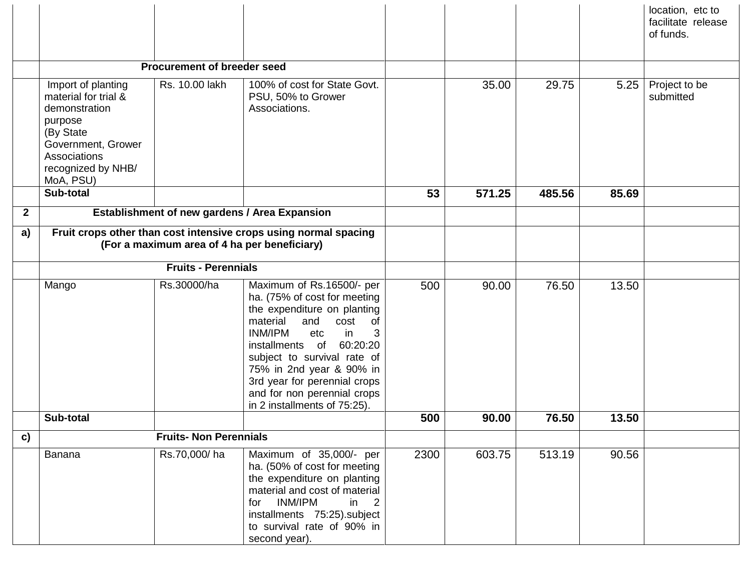|              |                                                                                                                                                              |                                    |                                                                                                                                                                                                                                                                                                                                                    |      |        |        |       | location, etc to<br>facilitate release<br>of funds. |
|--------------|--------------------------------------------------------------------------------------------------------------------------------------------------------------|------------------------------------|----------------------------------------------------------------------------------------------------------------------------------------------------------------------------------------------------------------------------------------------------------------------------------------------------------------------------------------------------|------|--------|--------|-------|-----------------------------------------------------|
|              |                                                                                                                                                              | <b>Procurement of breeder seed</b> |                                                                                                                                                                                                                                                                                                                                                    |      |        |        |       |                                                     |
|              | Import of planting<br>material for trial &<br>demonstration<br>purpose<br>(By State<br>Government, Grower<br>Associations<br>recognized by NHB/<br>MoA, PSU) | Rs. 10.00 lakh                     | 100% of cost for State Govt.<br>PSU, 50% to Grower<br>Associations.                                                                                                                                                                                                                                                                                |      | 35.00  | 29.75  | 5.25  | Project to be<br>submitted                          |
|              | Sub-total                                                                                                                                                    |                                    |                                                                                                                                                                                                                                                                                                                                                    | 53   | 571.25 | 485.56 | 85.69 |                                                     |
| $\mathbf{2}$ |                                                                                                                                                              |                                    | Establishment of new gardens / Area Expansion                                                                                                                                                                                                                                                                                                      |      |        |        |       |                                                     |
| a)           | Fruit crops other than cost intensive crops using normal spacing<br>(For a maximum area of 4 ha per beneficiary)                                             |                                    |                                                                                                                                                                                                                                                                                                                                                    |      |        |        |       |                                                     |
|              | <b>Fruits - Perennials</b>                                                                                                                                   |                                    |                                                                                                                                                                                                                                                                                                                                                    |      |        |        |       |                                                     |
|              | Mango                                                                                                                                                        | Rs.30000/ha                        | Maximum of Rs.16500/- per<br>ha. (75% of cost for meeting<br>the expenditure on planting<br>material<br>and<br>cost<br>of<br>INM/IPM<br>etc<br>in<br>3<br>60:20:20<br>installments<br>of<br>subject to survival rate of<br>75% in 2nd year & 90% in<br>3rd year for perennial crops<br>and for non perennial crops<br>in 2 installments of 75:25). | 500  | 90.00  | 76.50  | 13.50 |                                                     |
|              | Sub-total                                                                                                                                                    |                                    |                                                                                                                                                                                                                                                                                                                                                    | 500  | 90.00  | 76.50  | 13.50 |                                                     |
| c)           |                                                                                                                                                              | <b>Fruits- Non Perennials</b>      |                                                                                                                                                                                                                                                                                                                                                    |      |        |        |       |                                                     |
|              | Banana                                                                                                                                                       | Rs.70,000/ha                       | Maximum of 35,000/- per<br>ha. (50% of cost for meeting<br>the expenditure on planting<br>material and cost of material<br>INM/IPM<br>for<br>in<br>2<br>installments 75:25).subject<br>to survival rate of 90% in<br>second year).                                                                                                                 | 2300 | 603.75 | 513.19 | 90.56 |                                                     |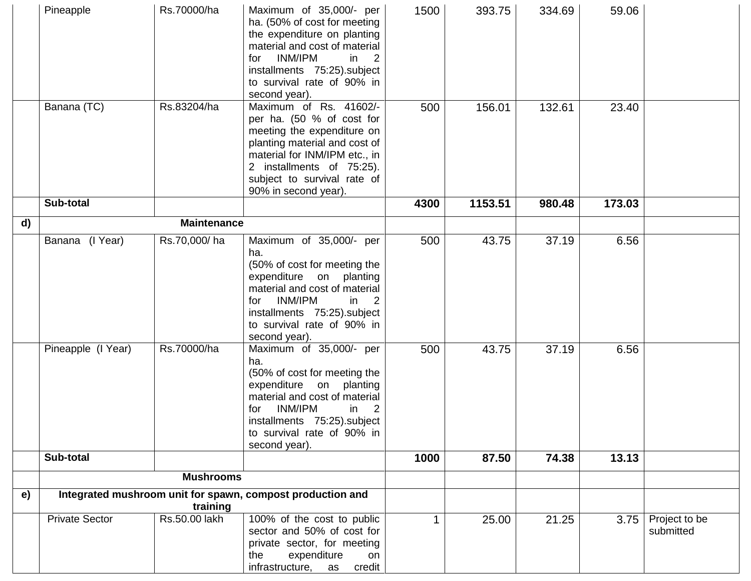|    | Pineapple                                                              | Rs.70000/ha        | Maximum of 35,000/- per<br>ha. (50% of cost for meeting<br>the expenditure on planting<br>material and cost of material<br><b>INM/IPM</b><br>in $\sqrt{2}$<br>for<br>installments 75:25).subject<br>to survival rate of 90% in<br>second year). | 1500 | 393.75  | 334.69 | 59.06  |                            |
|----|------------------------------------------------------------------------|--------------------|-------------------------------------------------------------------------------------------------------------------------------------------------------------------------------------------------------------------------------------------------|------|---------|--------|--------|----------------------------|
|    | Banana (TC)                                                            | Rs.83204/ha        | Maximum of Rs. 41602/-<br>per ha. (50 % of cost for<br>meeting the expenditure on<br>planting material and cost of<br>material for INM/IPM etc., in<br>2 installments of 75:25).<br>subject to survival rate of<br>90% in second year).         | 500  | 156.01  | 132.61 | 23.40  |                            |
|    | Sub-total                                                              |                    |                                                                                                                                                                                                                                                 | 4300 | 1153.51 | 980.48 | 173.03 |                            |
| d) |                                                                        | <b>Maintenance</b> |                                                                                                                                                                                                                                                 |      |         |        |        |                            |
|    | Banana (I Year)                                                        | Rs.70,000/ha       | Maximum of 35,000/- per<br>ha.<br>(50% of cost for meeting the<br>expenditure on planting<br>material and cost of material<br>INM/IPM<br>in 2<br>for<br>installments 75:25).subject<br>to survival rate of 90% in<br>second year).              | 500  | 43.75   | 37.19  | 6.56   |                            |
|    | Pineapple (I Year)                                                     | Rs.70000/ha        | Maximum of 35,000/- per<br>ha.<br>(50% of cost for meeting the<br>expenditure on planting<br>material and cost of material<br>INM/IPM<br>in $2$<br>for<br>installments 75:25).subject<br>to survival rate of 90% in<br>second year).            | 500  | 43.75   | 37.19  | 6.56   |                            |
|    | Sub-total                                                              |                    |                                                                                                                                                                                                                                                 | 1000 | 87.50   | 74.38  | 13.13  |                            |
|    |                                                                        | <b>Mushrooms</b>   |                                                                                                                                                                                                                                                 |      |         |        |        |                            |
| e) | Integrated mushroom unit for spawn, compost production and<br>training |                    |                                                                                                                                                                                                                                                 |      |         |        |        |                            |
|    | <b>Private Sector</b>                                                  | Rs.50.00 lakh      | 100% of the cost to public<br>sector and 50% of cost for<br>private sector, for meeting<br>expenditure<br>the<br>on<br>credit<br>infrastructure, as                                                                                             |      | 25.00   | 21.25  | 3.75   | Project to be<br>submitted |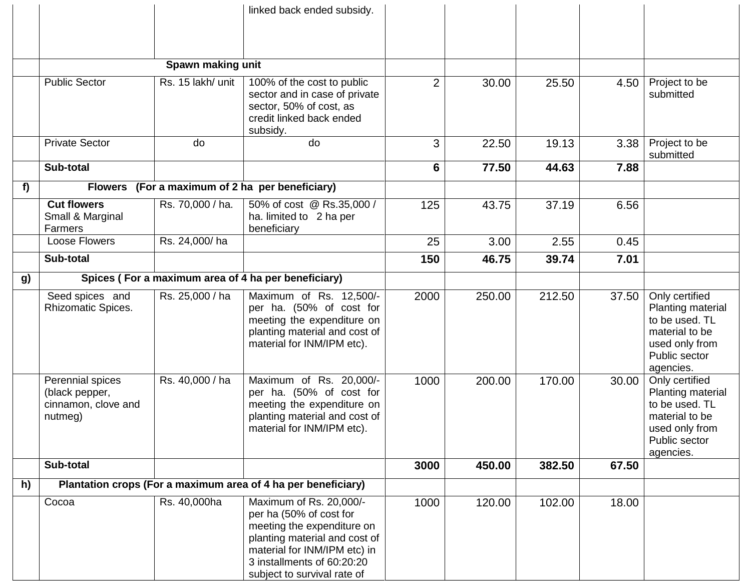|    |                                                                      |                   | linked back ended subsidy.                                                                                                                                                                                     |                |        |        |       |                                                                                                                         |
|----|----------------------------------------------------------------------|-------------------|----------------------------------------------------------------------------------------------------------------------------------------------------------------------------------------------------------------|----------------|--------|--------|-------|-------------------------------------------------------------------------------------------------------------------------|
|    |                                                                      | Spawn making unit |                                                                                                                                                                                                                |                |        |        |       |                                                                                                                         |
|    | <b>Public Sector</b>                                                 | Rs. 15 lakh/ unit | 100% of the cost to public<br>sector and in case of private<br>sector, 50% of cost, as<br>credit linked back ended<br>subsidy.                                                                                 | $\overline{2}$ | 30.00  | 25.50  | 4.50  | Project to be<br>submitted                                                                                              |
|    | <b>Private Sector</b>                                                | do                | do                                                                                                                                                                                                             | 3              | 22.50  | 19.13  | 3.38  | Project to be<br>submitted                                                                                              |
|    | Sub-total                                                            |                   |                                                                                                                                                                                                                | 6              | 77.50  | 44.63  | 7.88  |                                                                                                                         |
| f) | <b>Flowers</b>                                                       |                   | (For a maximum of 2 ha per beneficiary)                                                                                                                                                                        |                |        |        |       |                                                                                                                         |
|    | <b>Cut flowers</b><br>Small & Marginal<br>Farmers                    | Rs. 70,000 / ha.  | 50% of cost @ Rs.35,000 /<br>ha. limited to 2 ha per<br>beneficiary                                                                                                                                            | 125            | 43.75  | 37.19  | 6.56  |                                                                                                                         |
|    | Loose Flowers                                                        | Rs. 24,000/ha     |                                                                                                                                                                                                                | 25             | 3.00   | 2.55   | 0.45  |                                                                                                                         |
|    | Sub-total                                                            |                   |                                                                                                                                                                                                                | 150            | 46.75  | 39.74  | 7.01  |                                                                                                                         |
| g) |                                                                      |                   | Spices (For a maximum area of 4 ha per beneficiary)                                                                                                                                                            |                |        |        |       |                                                                                                                         |
|    | Seed spices and<br><b>Rhizomatic Spices.</b>                         | Rs. 25,000 / ha   | Maximum of Rs. 12,500/-<br>per ha. (50% of cost for<br>meeting the expenditure on<br>planting material and cost of<br>material for INM/IPM etc).                                                               | 2000           | 250.00 | 212.50 | 37.50 | Only certified<br>Planting material<br>to be used. TL<br>material to be<br>used only from<br>Public sector<br>agencies. |
|    | Perennial spices<br>(black pepper,<br>cinnamon, clove and<br>nutmeg) | Rs. 40,000 / ha   | Maximum of Rs. 20,000/-<br>per ha. (50% of cost for<br>meeting the expenditure on<br>planting material and cost of<br>material for INM/IPM etc).                                                               | 1000           | 200.00 | 170.00 | 30.00 | Only certified<br>Planting material<br>to be used. TL<br>material to be<br>used only from<br>Public sector<br>agencies. |
|    | Sub-total                                                            |                   |                                                                                                                                                                                                                | 3000           | 450.00 | 382.50 | 67.50 |                                                                                                                         |
| h) |                                                                      |                   | Plantation crops (For a maximum area of 4 ha per beneficiary)                                                                                                                                                  |                |        |        |       |                                                                                                                         |
|    | Cocoa                                                                | Rs. 40,000ha      | Maximum of Rs. 20,000/-<br>per ha (50% of cost for<br>meeting the expenditure on<br>planting material and cost of<br>material for INM/IPM etc) in<br>3 installments of 60:20:20<br>subject to survival rate of | 1000           | 120.00 | 102.00 | 18.00 |                                                                                                                         |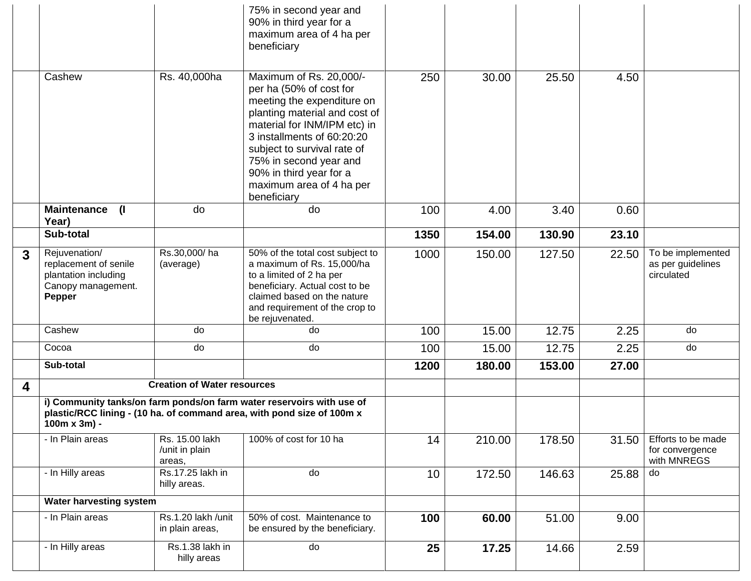|                         |                                                                                                       |                                            | 75% in second year and<br>90% in third year for a<br>maximum area of 4 ha per<br>beneficiary                                                                                                                                                                                                                   |      |        |        |       |                                                      |
|-------------------------|-------------------------------------------------------------------------------------------------------|--------------------------------------------|----------------------------------------------------------------------------------------------------------------------------------------------------------------------------------------------------------------------------------------------------------------------------------------------------------------|------|--------|--------|-------|------------------------------------------------------|
|                         | Cashew                                                                                                | Rs. 40,000ha                               | Maximum of Rs. 20,000/-<br>per ha (50% of cost for<br>meeting the expenditure on<br>planting material and cost of<br>material for INM/IPM etc) in<br>3 installments of 60:20:20<br>subject to survival rate of<br>75% in second year and<br>90% in third year for a<br>maximum area of 4 ha per<br>beneficiary | 250  | 30.00  | 25.50  | 4.50  |                                                      |
|                         | <b>Maintenance</b><br>$\mathbf{I}$<br>Year)                                                           | do                                         | do                                                                                                                                                                                                                                                                                                             | 100  | 4.00   | 3.40   | 0.60  |                                                      |
|                         | Sub-total                                                                                             |                                            |                                                                                                                                                                                                                                                                                                                | 1350 | 154.00 | 130.90 | 23.10 |                                                      |
| 3                       | Rejuvenation/<br>replacement of senile<br>plantation including<br>Canopy management.<br><b>Pepper</b> | Rs.30,000/ha<br>(average)                  | 50% of the total cost subject to<br>a maximum of Rs. 15,000/ha<br>to a limited of 2 ha per<br>beneficiary. Actual cost to be<br>claimed based on the nature<br>and requirement of the crop to<br>be rejuvenated.                                                                                               | 1000 | 150.00 | 127.50 | 22.50 | To be implemented<br>as per guidelines<br>circulated |
|                         | Cashew                                                                                                | do                                         | do                                                                                                                                                                                                                                                                                                             | 100  | 15.00  | 12.75  | 2.25  | do                                                   |
|                         | Cocoa                                                                                                 | do                                         | do                                                                                                                                                                                                                                                                                                             | 100  | 15.00  | 12.75  | 2.25  | do                                                   |
|                         | Sub-total                                                                                             |                                            |                                                                                                                                                                                                                                                                                                                | 1200 | 180.00 | 153.00 | 27.00 |                                                      |
| $\overline{\mathbf{4}}$ |                                                                                                       | <b>Creation of Water resources</b>         |                                                                                                                                                                                                                                                                                                                |      |        |        |       |                                                      |
|                         | $100m \times 3m$ ) -                                                                                  |                                            | i) Community tanks/on farm ponds/on farm water reservoirs with use of<br>plastic/RCC lining - (10 ha. of command area, with pond size of 100m x                                                                                                                                                                |      |        |        |       |                                                      |
|                         | - In Plain areas                                                                                      | Rs. 15.00 lakh<br>/unit in plain<br>areas, | 100% of cost for 10 ha                                                                                                                                                                                                                                                                                         | 14   | 210.00 | 178.50 | 31.50 | Efforts to be made<br>for convergence<br>with MNREGS |
|                         | - In Hilly areas                                                                                      | Rs.17.25 lakh in<br>hilly areas.           | do                                                                                                                                                                                                                                                                                                             | 10   | 172.50 | 146.63 | 25.88 | do                                                   |
|                         | <b>Water harvesting system</b>                                                                        |                                            |                                                                                                                                                                                                                                                                                                                |      |        |        |       |                                                      |
|                         | - In Plain areas                                                                                      | Rs.1.20 lakh /unit<br>in plain areas,      | 50% of cost. Maintenance to<br>be ensured by the beneficiary.                                                                                                                                                                                                                                                  | 100  | 60.00  | 51.00  | 9.00  |                                                      |
|                         | - In Hilly areas                                                                                      | Rs.1.38 lakh in<br>hilly areas             | do                                                                                                                                                                                                                                                                                                             | 25   | 17.25  | 14.66  | 2.59  |                                                      |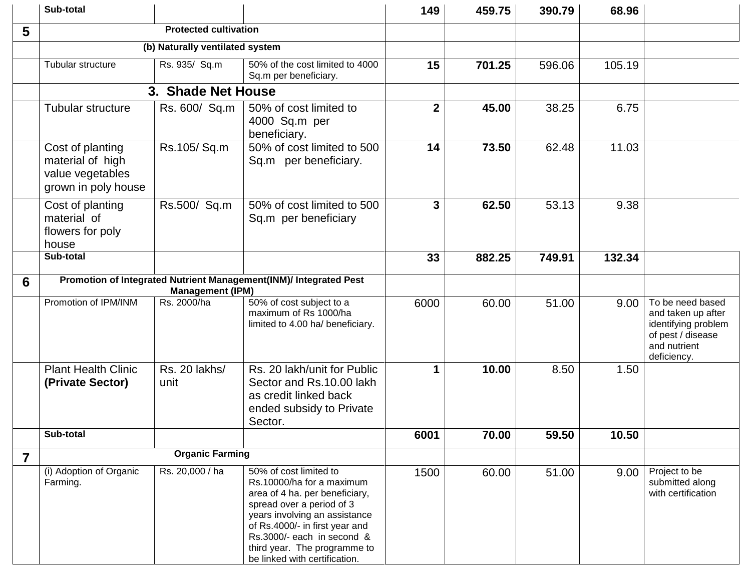|                | Sub-total                                                                       |                                 |                                                                                                                                                                                                                                                                                      | 149          | 459.75 | 390.79 | 68.96  |                                                                                                                   |
|----------------|---------------------------------------------------------------------------------|---------------------------------|--------------------------------------------------------------------------------------------------------------------------------------------------------------------------------------------------------------------------------------------------------------------------------------|--------------|--------|--------|--------|-------------------------------------------------------------------------------------------------------------------|
| 5              |                                                                                 | <b>Protected cultivation</b>    |                                                                                                                                                                                                                                                                                      |              |        |        |        |                                                                                                                   |
|                |                                                                                 | (b) Naturally ventilated system |                                                                                                                                                                                                                                                                                      |              |        |        |        |                                                                                                                   |
|                | Tubular structure                                                               | Rs. 935/ Sq.m                   | 50% of the cost limited to 4000<br>Sq.m per beneficiary.                                                                                                                                                                                                                             | 15           | 701.25 | 596.06 | 105.19 |                                                                                                                   |
|                |                                                                                 | 3. Shade Net House              |                                                                                                                                                                                                                                                                                      |              |        |        |        |                                                                                                                   |
|                | <b>Tubular structure</b>                                                        | Rs. 600/ Sq.m                   | 50% of cost limited to<br>4000 Sq.m per<br>beneficiary.                                                                                                                                                                                                                              | $\mathbf{2}$ | 45.00  | 38.25  | 6.75   |                                                                                                                   |
|                | Cost of planting<br>material of high<br>value vegetables<br>grown in poly house | Rs.105/Sq.m                     | 50% of cost limited to 500<br>Sq.m per beneficiary.                                                                                                                                                                                                                                  | 14           | 73.50  | 62.48  | 11.03  |                                                                                                                   |
|                | Cost of planting<br>material of<br>flowers for poly<br>house                    | Rs.500/ Sq.m                    | 50% of cost limited to 500<br>Sq.m per beneficiary                                                                                                                                                                                                                                   | 3            | 62.50  | 53.13  | 9.38   |                                                                                                                   |
|                | Sub-total                                                                       |                                 |                                                                                                                                                                                                                                                                                      | 33           | 882.25 | 749.91 | 132.34 |                                                                                                                   |
| 6              |                                                                                 | <b>Management (IPM)</b>         | Promotion of Integrated Nutrient Management(INM)/ Integrated Pest                                                                                                                                                                                                                    |              |        |        |        |                                                                                                                   |
|                | Promotion of IPM/INM                                                            | Rs. 2000/ha                     | 50% of cost subject to a<br>maximum of Rs 1000/ha<br>limited to 4.00 ha/ beneficiary.                                                                                                                                                                                                | 6000         | 60.00  | 51.00  | 9.00   | To be need based<br>and taken up after<br>identifying problem<br>of pest / disease<br>and nutrient<br>deficiency. |
|                | <b>Plant Health Clinic</b><br>(Private Sector)                                  | Rs. 20 lakhs/<br>unit           | Rs. 20 lakh/unit for Public<br>Sector and Rs.10.00 lakh<br>as credit linked back<br>ended subsidy to Private<br>Sector.                                                                                                                                                              | $\mathbf 1$  | 10.00  | 8.50   | 1.50   |                                                                                                                   |
|                | Sub-total                                                                       |                                 |                                                                                                                                                                                                                                                                                      | 6001         | 70.00  | 59.50  | 10.50  |                                                                                                                   |
| $\overline{7}$ |                                                                                 | <b>Organic Farming</b>          |                                                                                                                                                                                                                                                                                      |              |        |        |        |                                                                                                                   |
|                | (i) Adoption of Organic<br>Farming.                                             | Rs. 20,000 / ha                 | 50% of cost limited to<br>Rs.10000/ha for a maximum<br>area of 4 ha. per beneficiary,<br>spread over a period of 3<br>years involving an assistance<br>of Rs.4000/- in first year and<br>Rs.3000/- each in second &<br>third year. The programme to<br>be linked with certification. | 1500         | 60.00  | 51.00  | 9.00   | Project to be<br>submitted along<br>with certification                                                            |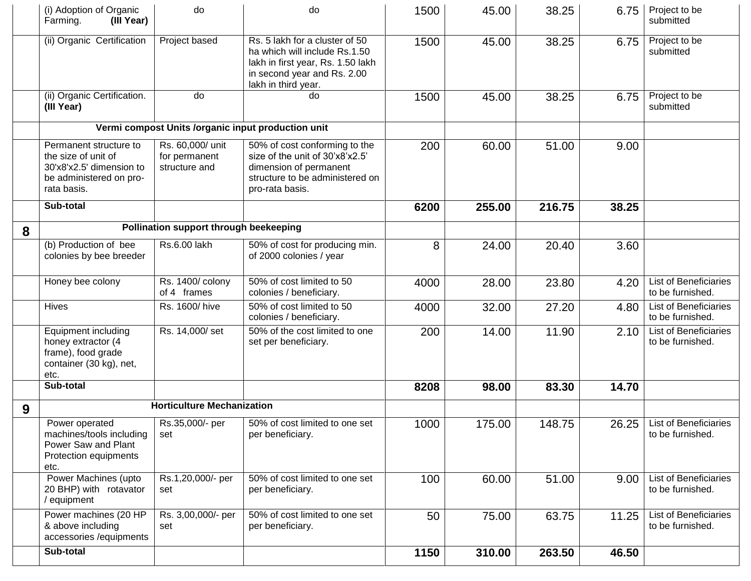|   | (i) Adoption of Organic<br>Farming.<br>(III Year)                                                                   | do                                                 | do                                                                                                                                                         | 1500 | 45.00  | 38.25  | 6.75              | Project to be<br>submitted                       |
|---|---------------------------------------------------------------------------------------------------------------------|----------------------------------------------------|------------------------------------------------------------------------------------------------------------------------------------------------------------|------|--------|--------|-------------------|--------------------------------------------------|
|   | (ii) Organic Certification                                                                                          | Project based                                      | Rs. 5 lakh for a cluster of 50<br>ha which will include Rs.1.50<br>lakh in first year, Rs. 1.50 lakh<br>in second year and Rs. 2.00<br>lakh in third year. | 1500 | 45.00  | 38.25  | 6.75              | Project to be<br>submitted                       |
|   | (ii) Organic Certification.<br>(III Year)                                                                           | do                                                 | do                                                                                                                                                         | 1500 | 45.00  | 38.25  | 6.75              | Project to be<br>submitted                       |
|   |                                                                                                                     |                                                    | Vermi compost Units /organic input production unit                                                                                                         |      |        |        |                   |                                                  |
|   | Permanent structure to<br>the size of unit of<br>30'x8'x2.5' dimension to<br>be administered on pro-<br>rata basis. | Rs. 60,000/ unit<br>for permanent<br>structure and | 50% of cost conforming to the<br>size of the unit of 30'x8'x2.5'<br>dimension of permanent<br>structure to be administered on<br>pro-rata basis.           | 200  | 60.00  | 51.00  | 9.00              |                                                  |
|   | Sub-total                                                                                                           |                                                    |                                                                                                                                                            | 6200 | 255.00 | 216.75 | 38.25             |                                                  |
| 8 |                                                                                                                     | Pollination support through beekeeping             |                                                                                                                                                            |      |        |        |                   |                                                  |
|   | (b) Production of bee<br>colonies by bee breeder                                                                    | Rs.6.00 lakh                                       | 50% of cost for producing min.<br>of 2000 colonies / year                                                                                                  | 8    | 24.00  | 20.40  | 3.60              |                                                  |
|   | Honey bee colony                                                                                                    | Rs. 1400/ colony<br>of 4 frames                    | 50% of cost limited to 50<br>colonies / beneficiary.                                                                                                       | 4000 | 28.00  | 23.80  | 4.20              | <b>List of Beneficiaries</b><br>to be furnished. |
|   | Hives                                                                                                               | Rs. 1600/hive                                      | 50% of cost limited to 50<br>colonies / beneficiary.                                                                                                       | 4000 | 32.00  | 27.20  | 4.80              | <b>List of Beneficiaries</b><br>to be furnished. |
|   | <b>Equipment including</b><br>honey extractor (4<br>frame), food grade<br>container (30 kg), net,<br>etc.           | Rs. 14,000/ set                                    | 50% of the cost limited to one<br>set per beneficiary.                                                                                                     | 200  | 14.00  | 11.90  | 2.10              | <b>List of Beneficiaries</b><br>to be furnished. |
|   | Sub-total                                                                                                           |                                                    |                                                                                                                                                            | 8208 | 98.00  | 83.30  | 14.70             |                                                  |
| 9 |                                                                                                                     | <b>Horticulture Mechanization</b>                  |                                                                                                                                                            |      |        |        |                   |                                                  |
|   | Power operated<br>machines/tools including<br>Power Saw and Plant<br>Protection equipments<br>etc.                  | Rs.35,000/- per<br>set                             | 50% of cost limited to one set<br>per beneficiary.                                                                                                         | 1000 | 175.00 | 148.75 | 26.25             | <b>List of Beneficiaries</b><br>to be furnished. |
|   | Power Machines (upto<br>20 BHP) with rotavator<br>/ equipment                                                       | Rs.1,20,000/- per<br>set                           | 50% of cost limited to one set<br>per beneficiary.                                                                                                         | 100  | 60.00  | 51.00  | 9.00 <sub>1</sub> | <b>List of Beneficiaries</b><br>to be furnished. |
|   | Power machines (20 HP<br>& above including<br>accessories /equipments                                               | Rs. 3,00,000/- per<br>set                          | 50% of cost limited to one set<br>per beneficiary.                                                                                                         | 50   | 75.00  | 63.75  | 11.25             | <b>List of Beneficiaries</b><br>to be furnished. |
|   | Sub-total                                                                                                           |                                                    |                                                                                                                                                            | 1150 | 310.00 | 263.50 | 46.50             |                                                  |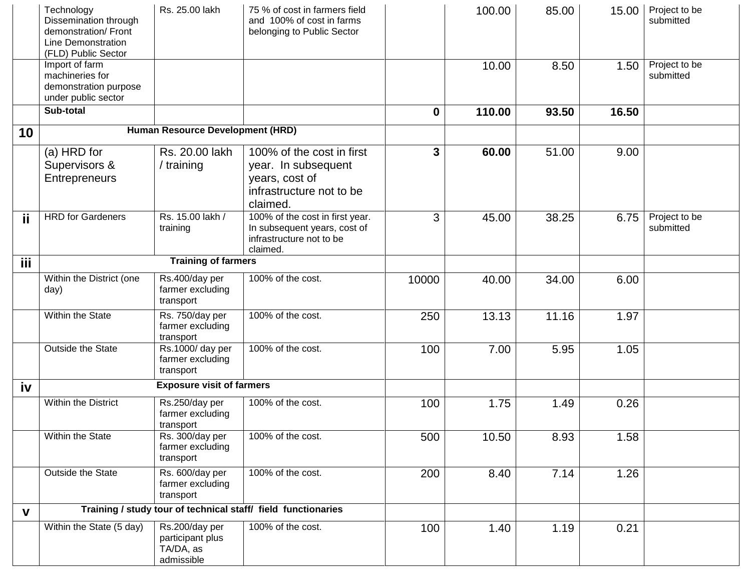|             | Technology<br>Dissemination through<br>demonstration/ Front<br>Line Demonstration<br>(FLD) Public Sector | Rs. 25.00 lakh                                                | 75 % of cost in farmers field<br>and 100% of cost in farms<br>belonging to Public Sector                   |          | 100.00 | 85.00 | 15.00 | Project to be<br>submitted |
|-------------|----------------------------------------------------------------------------------------------------------|---------------------------------------------------------------|------------------------------------------------------------------------------------------------------------|----------|--------|-------|-------|----------------------------|
|             | Import of farm<br>machineries for<br>demonstration purpose<br>under public sector                        |                                                               |                                                                                                            |          | 10.00  | 8.50  | 1.50  | Project to be<br>submitted |
|             | Sub-total                                                                                                |                                                               |                                                                                                            | $\bf{0}$ | 110.00 | 93.50 | 16.50 |                            |
| 10          |                                                                                                          | Human Resource Development (HRD)                              |                                                                                                            |          |        |       |       |                            |
|             | (a) HRD for<br>Supervisors &<br><b>Entrepreneurs</b>                                                     | Rs. 20.00 lakh<br>/ training                                  | 100% of the cost in first<br>year. In subsequent<br>years, cost of<br>infrastructure not to be<br>claimed. | 3        | 60.00  | 51.00 | 9.00  |                            |
| ji          | <b>HRD</b> for Gardeners                                                                                 | Rs. 15.00 lakh /<br>training                                  | 100% of the cost in first year.<br>In subsequent years, cost of<br>infrastructure not to be<br>claimed.    | 3        | 45.00  | 38.25 | 6.75  | Project to be<br>submitted |
| iii.        |                                                                                                          | <b>Training of farmers</b>                                    |                                                                                                            |          |        |       |       |                            |
|             | Within the District (one<br>day)                                                                         | Rs.400/day per<br>farmer excluding<br>transport               | 100% of the cost.                                                                                          | 10000    | 40.00  | 34.00 | 6.00  |                            |
|             | Within the State                                                                                         | Rs. 750/day per<br>farmer excluding<br>transport              | 100% of the cost.                                                                                          | 250      | 13.13  | 11.16 | 1.97  |                            |
|             | Outside the State                                                                                        | Rs.1000/ day per<br>farmer excluding<br>transport             | 100% of the cost.                                                                                          | 100      | 7.00   | 5.95  | 1.05  |                            |
| iv          |                                                                                                          | <b>Exposure visit of farmers</b>                              |                                                                                                            |          |        |       |       |                            |
|             | Within the District                                                                                      | Rs.250/day per<br>farmer excluding<br>transport               | 100% of the cost.                                                                                          | 100      | 1.75   | 1.49  | 0.26  |                            |
|             | Within the State                                                                                         | Rs. 300/day per<br>farmer excluding<br>transport              | 100% of the cost.                                                                                          | 500      | 10.50  | 8.93  | 1.58  |                            |
|             | Outside the State                                                                                        | Rs. 600/day per<br>farmer excluding<br>transport              | 100% of the cost.                                                                                          | 200      | 8.40   | 7.14  | 1.26  |                            |
| $\mathbf v$ |                                                                                                          | Training / study tour of technical staff/ field functionaries |                                                                                                            |          |        |       |       |                            |
|             | Within the State (5 day)                                                                                 | Rs.200/day per<br>participant plus<br>TA/DA, as<br>admissible | 100% of the cost.                                                                                          | 100      | 1.40   | 1.19  | 0.21  |                            |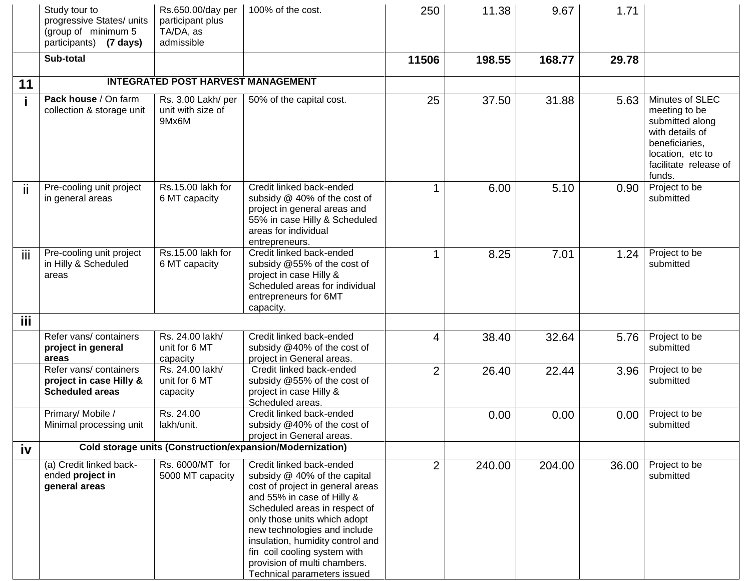|            | Study tour to<br>progressive States/ units<br>(group of minimum 5<br>participants) (7 days) | Rs.650.00/day per<br>participant plus<br>TA/DA, as<br>admissible | 100% of the cost.                                                                                                                                                                                                                                                                                                                                              | 250            | 11.38  | 9.67   | 1.71  |                                                                                                                                                 |
|------------|---------------------------------------------------------------------------------------------|------------------------------------------------------------------|----------------------------------------------------------------------------------------------------------------------------------------------------------------------------------------------------------------------------------------------------------------------------------------------------------------------------------------------------------------|----------------|--------|--------|-------|-------------------------------------------------------------------------------------------------------------------------------------------------|
|            | Sub-total                                                                                   |                                                                  |                                                                                                                                                                                                                                                                                                                                                                | 11506          | 198.55 | 168.77 | 29.78 |                                                                                                                                                 |
| 11         |                                                                                             | <b>INTEGRATED POST HARVEST MANAGEMENT</b>                        |                                                                                                                                                                                                                                                                                                                                                                |                |        |        |       |                                                                                                                                                 |
|            | Pack house / On farm<br>collection & storage unit                                           | Rs. 3.00 Lakh/ per<br>unit with size of<br>9Mx6M                 | 50% of the capital cost.                                                                                                                                                                                                                                                                                                                                       | 25             | 37.50  | 31.88  | 5.63  | Minutes of SLEC<br>meeting to be<br>submitted along<br>with details of<br>beneficiaries,<br>location, etc to<br>facilitate release of<br>funds. |
| ii         | Pre-cooling unit project<br>in general areas                                                | Rs.15.00 lakh for<br>6 MT capacity                               | Credit linked back-ended<br>subsidy @ 40% of the cost of<br>project in general areas and<br>55% in case Hilly & Scheduled<br>areas for individual<br>entrepreneurs.                                                                                                                                                                                            |                | 6.00   | 5.10   | 0.90  | Project to be<br>submitted                                                                                                                      |
| iii        | Pre-cooling unit project<br>in Hilly & Scheduled<br>areas                                   | Rs.15.00 lakh for<br>6 MT capacity                               | Credit linked back-ended<br>subsidy @55% of the cost of<br>project in case Hilly &<br>Scheduled areas for individual<br>entrepreneurs for 6MT<br>capacity.                                                                                                                                                                                                     | 1              | 8.25   | 7.01   | 1.24  | Project to be<br>submitted                                                                                                                      |
| <b>iii</b> |                                                                                             |                                                                  |                                                                                                                                                                                                                                                                                                                                                                |                |        |        |       |                                                                                                                                                 |
|            | Refer vans/ containers<br>project in general<br>areas                                       | Rs. 24.00 lakh/<br>unit for 6 MT<br>capacity                     | Credit linked back-ended<br>subsidy @40% of the cost of<br>project in General areas.                                                                                                                                                                                                                                                                           | 4              | 38.40  | 32.64  | 5.76  | Project to be<br>submitted                                                                                                                      |
|            | Refer vans/ containers<br>project in case Hilly &<br><b>Scheduled areas</b>                 | Rs. 24.00 lakh/<br>unit for 6 MT<br>capacity                     | Credit linked back-ended<br>subsidy @55% of the cost of<br>project in case Hilly &<br>Scheduled areas.                                                                                                                                                                                                                                                         | $\overline{2}$ | 26.40  | 22.44  | 3.96  | Project to be<br>submitted                                                                                                                      |
|            | Primary/ Mobile /<br>Minimal processing unit                                                | Rs. 24.00<br>lakh/unit.                                          | Credit linked back-ended<br>subsidy @40% of the cost of<br>project in General areas.                                                                                                                                                                                                                                                                           |                | 0.00   | 0.00   | 0.00  | Project to be<br>submitted                                                                                                                      |
| iv         |                                                                                             |                                                                  | Cold storage units (Construction/expansion/Modernization)                                                                                                                                                                                                                                                                                                      |                |        |        |       |                                                                                                                                                 |
|            | (a) Credit linked back-<br>ended project in<br>general areas                                | Rs. 6000/MT for<br>5000 MT capacity                              | Credit linked back-ended<br>subsidy @ 40% of the capital<br>cost of project in general areas<br>and 55% in case of Hilly &<br>Scheduled areas in respect of<br>only those units which adopt<br>new technologies and include<br>insulation, humidity control and<br>fin coil cooling system with<br>provision of multi chambers.<br>Technical parameters issued | $\overline{2}$ | 240.00 | 204.00 | 36.00 | Project to be<br>submitted                                                                                                                      |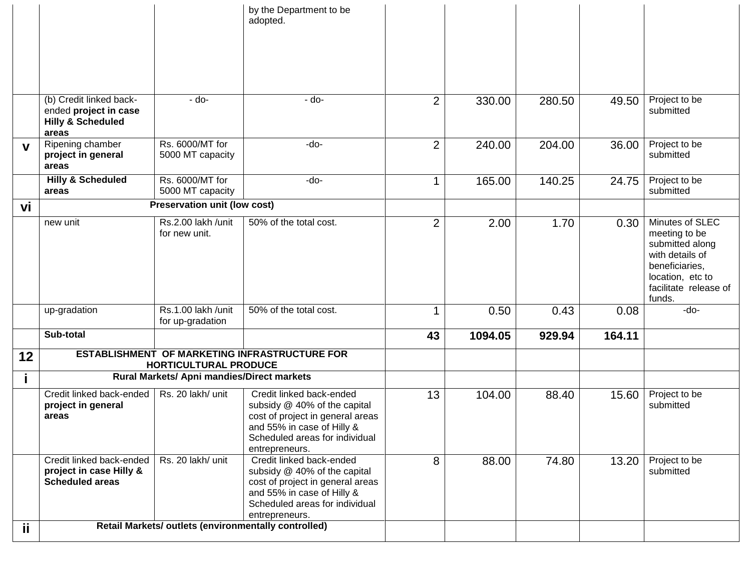|             |                                                                                           |                                                      | by the Department to be<br>adopted.                                                                                                                                            |                |         |        |        |                                                                                                                                                 |
|-------------|-------------------------------------------------------------------------------------------|------------------------------------------------------|--------------------------------------------------------------------------------------------------------------------------------------------------------------------------------|----------------|---------|--------|--------|-------------------------------------------------------------------------------------------------------------------------------------------------|
|             | (b) Credit linked back-<br>ended project in case<br><b>Hilly &amp; Scheduled</b><br>areas | - do-                                                | - do-                                                                                                                                                                          | $\overline{2}$ | 330.00  | 280.50 | 49.50  | Project to be<br>submitted                                                                                                                      |
| $\mathbf v$ | Ripening chamber<br>project in general<br>areas                                           | Rs. 6000/MT for<br>5000 MT capacity                  | -do-                                                                                                                                                                           | $\overline{2}$ | 240.00  | 204.00 | 36.00  | Project to be<br>submitted                                                                                                                      |
|             | <b>Hilly &amp; Scheduled</b><br>areas                                                     | Rs. 6000/MT for<br>5000 MT capacity                  | -do-                                                                                                                                                                           | 1              | 165.00  | 140.25 | 24.75  | Project to be<br>submitted                                                                                                                      |
| vi          |                                                                                           | <b>Preservation unit (low cost)</b>                  |                                                                                                                                                                                |                |         |        |        |                                                                                                                                                 |
|             | new unit                                                                                  | Rs.2.00 lakh /unit<br>for new unit.                  | 50% of the total cost.                                                                                                                                                         | $\overline{2}$ | 2.00    | 1.70   | 0.30   | Minutes of SLEC<br>meeting to be<br>submitted along<br>with details of<br>beneficiaries,<br>location, etc to<br>facilitate release of<br>funds. |
|             | up-gradation                                                                              | Rs.1.00 lakh /unit<br>for up-gradation               | 50% of the total cost.                                                                                                                                                         | 1              | 0.50    | 0.43   | 0.08   | $-do-$                                                                                                                                          |
|             | Sub-total                                                                                 |                                                      |                                                                                                                                                                                | 43             | 1094.05 | 929.94 | 164.11 |                                                                                                                                                 |
| 12          |                                                                                           | <b>HORTICULTURAL PRODUCE</b>                         | ESTABLISHMENT OF MARKETING INFRASTRUCTURE FOR                                                                                                                                  |                |         |        |        |                                                                                                                                                 |
|             |                                                                                           | Rural Markets/ Apni mandies/Direct markets           |                                                                                                                                                                                |                |         |        |        |                                                                                                                                                 |
|             | Credit linked back-ended<br>project in general<br>areas                                   | Rs. 20 lakh/ unit                                    | Credit linked back-ended<br>subsidy @ 40% of the capital<br>cost of project in general areas<br>and 55% in case of Hilly &<br>Scheduled areas for individual<br>entrepreneurs. | 13             | 104.00  | 88.40  | 15.60  | Project to be<br>submitted                                                                                                                      |
|             | Credit linked back-ended<br>project in case Hilly &<br><b>Scheduled areas</b>             | Rs. 20 lakh/ unit                                    | Credit linked back-ended<br>subsidy @ 40% of the capital<br>cost of project in general areas<br>and 55% in case of Hilly &<br>Scheduled areas for individual<br>entrepreneurs. | 8              | 88.00   | 74.80  | 13.20  | Project to be<br>submitted                                                                                                                      |
| ii.         |                                                                                           | Retail Markets/ outlets (environmentally controlled) |                                                                                                                                                                                |                |         |        |        |                                                                                                                                                 |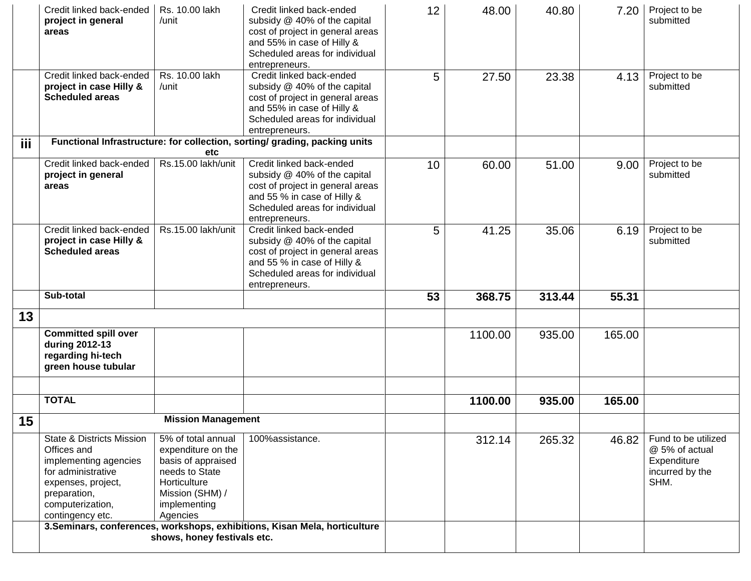|            | Credit linked back-ended<br>project in general<br>areas                                                                                                                          | Rs. 10.00 lakh<br>/unit                                                                                                                         | Credit linked back-ended<br>subsidy @ 40% of the capital<br>cost of project in general areas<br>and 55% in case of Hilly &<br>Scheduled areas for individual<br>entrepreneurs.  | 12 | 48.00   | 40.80  | 7.20   | Project to be<br>submitted                                                      |
|------------|----------------------------------------------------------------------------------------------------------------------------------------------------------------------------------|-------------------------------------------------------------------------------------------------------------------------------------------------|---------------------------------------------------------------------------------------------------------------------------------------------------------------------------------|----|---------|--------|--------|---------------------------------------------------------------------------------|
|            | Credit linked back-ended<br>project in case Hilly &<br><b>Scheduled areas</b>                                                                                                    | Rs. 10.00 lakh<br>/unit                                                                                                                         | Credit linked back-ended<br>subsidy @ 40% of the capital<br>cost of project in general areas<br>and 55% in case of Hilly &<br>Scheduled areas for individual<br>entrepreneurs.  | 5  | 27.50   | 23.38  | 4.13   | Project to be<br>submitted                                                      |
| <b>iii</b> |                                                                                                                                                                                  | etc                                                                                                                                             | Functional Infrastructure: for collection, sorting/ grading, packing units                                                                                                      |    |         |        |        |                                                                                 |
|            | Credit linked back-ended<br>project in general<br>areas                                                                                                                          | Rs.15.00 lakh/unit                                                                                                                              | Credit linked back-ended<br>subsidy @ 40% of the capital<br>cost of project in general areas<br>and 55 % in case of Hilly &<br>Scheduled areas for individual<br>entrepreneurs. | 10 | 60.00   | 51.00  | 9.00   | Project to be<br>submitted                                                      |
|            | Credit linked back-ended<br>project in case Hilly &<br><b>Scheduled areas</b>                                                                                                    | Rs.15.00 lakh/unit                                                                                                                              | Credit linked back-ended<br>subsidy @ 40% of the capital<br>cost of project in general areas<br>and 55 % in case of Hilly &<br>Scheduled areas for individual<br>entrepreneurs. | 5  | 41.25   | 35.06  | 6.19   | Project to be<br>submitted                                                      |
|            | Sub-total                                                                                                                                                                        |                                                                                                                                                 |                                                                                                                                                                                 | 53 | 368.75  | 313.44 | 55.31  |                                                                                 |
| 13         |                                                                                                                                                                                  |                                                                                                                                                 |                                                                                                                                                                                 |    |         |        |        |                                                                                 |
|            | <b>Committed spill over</b><br>during 2012-13<br>regarding hi-tech<br>green house tubular                                                                                        |                                                                                                                                                 |                                                                                                                                                                                 |    | 1100.00 | 935.00 | 165.00 |                                                                                 |
|            | <b>TOTAL</b>                                                                                                                                                                     |                                                                                                                                                 |                                                                                                                                                                                 |    |         |        |        |                                                                                 |
|            |                                                                                                                                                                                  |                                                                                                                                                 |                                                                                                                                                                                 |    | 1100.00 | 935.00 | 165.00 |                                                                                 |
| 15         |                                                                                                                                                                                  | <b>Mission Management</b>                                                                                                                       |                                                                                                                                                                                 |    |         |        |        |                                                                                 |
|            | <b>State &amp; Districts Mission</b><br>Offices and<br>implementing agencies<br>for administrative<br>expenses, project,<br>preparation,<br>computerization,<br>contingency etc. | 5% of total annual<br>expenditure on the<br>basis of appraised<br>needs to State<br>Horticulture<br>Mission (SHM) /<br>implementing<br>Agencies | 100%assistance.<br>3. Seminars, conferences, workshops, exhibitions, Kisan Mela, horticulture                                                                                   |    | 312.14  | 265.32 | 46.82  | Fund to be utilized<br>@ 5% of actual<br>Expenditure<br>incurred by the<br>SHM. |
|            |                                                                                                                                                                                  | shows, honey festivals etc.                                                                                                                     |                                                                                                                                                                                 |    |         |        |        |                                                                                 |